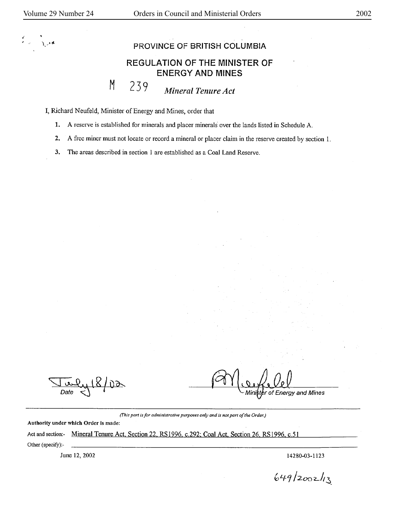*.(*   $\sum_{i=1}^{n}$ 

## **PROVINCE OF BRITISH COLUMBIA**

## **REGULATION OF THE MINISTER OF ENERGY AND MINES**

## 239 *Mineral Tenure Act*

I, Richard Neufeld, Minister of Energy and Mines, order that

M

- **1. A** reserve is established for minerals and placer minerals· over the lands listed in Schedule A.
- **2. A** free miner must not locate or record a mineral or placer claim in the reserve created by section I.

3. The areas described in section 1 are established as a Coal Land Reserve.

 $\sqrt{\frac{\mu_{\text{u}}}{\mu}}$ *Date*  $\lt$  **<sup>t</sup>** 

of Energy and Mines

*(This part is for administrative purposes only and is not part of the Order.)* 

Authority under which Order is made:

Act and section:- Mineral Tenure Act, Section 22, RS1996, c.292; Coal Act, Section 26, RS1996, c.51 Other (specify):-

June 12, 2002 14280-03-1123

 $649/2002/13$